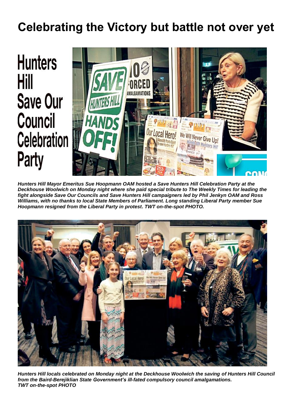# **Celebrating the Victory but battle not over yet**



*Hunters Hill Mayor Emeritus Sue Hoopmann OAM hosted a Save Hunters Hill Celebration Party at the Deckhouse Woolwich on Monday night where she paid special tribute to The Weekly Times for leading the fight alongside Save Our Councils and Save Hunters Hill campaigners led by Phil Jenkyn OAM and Ross Williams, with no thanks to local State Members of Parliament. Long standing Liberal Party member Sue Hoopmann resigned from the Liberal Party in protest. TWT on-the-spot PHOTO.*



*Hunters Hill locals celebrated on Monday night at the Deckhouse Woolwich the saving of Hunters Hill Council from the Baird-Berejiklian State Government's ill-fated compulsory council amalgamations. TWT on-the-spot PHOTO*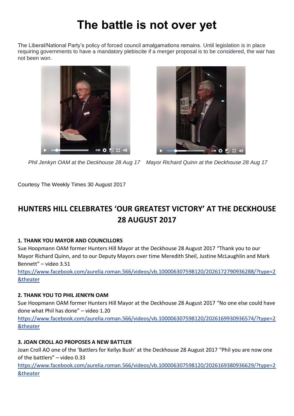# **The battle is not over yet**

The Liberal/National Party's policy of forced council amalgamations remains. Until legislation is in place requiring governments to have a mandatory plebiscite if a merger proposal is to be considered, the war has not been won.





 *Phil Jenkyn OAM at the Deckhouse 28 Aug 17 Mayor Richard Quinn at the Deckhouse 28 Aug 17*

Courtesy The Weekly Times 30 August 2017

# **HUNTERS HILL CELEBRATES 'OUR GREATEST VICTORY' AT THE DECKHOUSE 28 AUGUST 2017**

# **1. THANK YOU MAYOR AND COUNCILLORS**

Sue Hoopmann OAM former Hunters Hill Mayor at the Deckhouse 28 August 2017 "Thank you to our Mayor Richard Quinn, and to our Deputy Mayors over time Meredith Sheil, Justine McLaughlin and Mark Bennett" – video 3.51

[https://www.facebook.com/aurelia.roman.566/videos/vb.100006307598120/2026172790936288/?type=2](https://www.facebook.com/aurelia.roman.566/videos/vb.100006307598120/2026172790936288/?type=2&theater) [&theater](https://www.facebook.com/aurelia.roman.566/videos/vb.100006307598120/2026172790936288/?type=2&theater)

### **2. THANK YOU TO PHIL JENKYN OAM**

Sue Hoopmann OAM former Hunters Hill Mayor at the Deckhouse 28 August 2017 "No one else could have done what Phil has done" – video 1.20

[https://www.facebook.com/aurelia.roman.566/videos/vb.100006307598120/2026169930936574/?type=2](https://www.facebook.com/aurelia.roman.566/videos/vb.100006307598120/2026169930936574/?type=2&theater) [&theater](https://www.facebook.com/aurelia.roman.566/videos/vb.100006307598120/2026169930936574/?type=2&theater)

# **3. JOAN CROLL AO PROPOSES A NEW BATTLER**

Joan Croll AO one of the 'Battlers for Kellys Bush' at the Deckhouse 28 August 2017 "Phil you are now one of the battlers" – video 0.33

[https://www.facebook.com/aurelia.roman.566/videos/vb.100006307598120/2026169380936629/?type=2](https://www.facebook.com/aurelia.roman.566/videos/vb.100006307598120/2026169380936629/?type=2&theater) [&theater](https://www.facebook.com/aurelia.roman.566/videos/vb.100006307598120/2026169380936629/?type=2&theater)